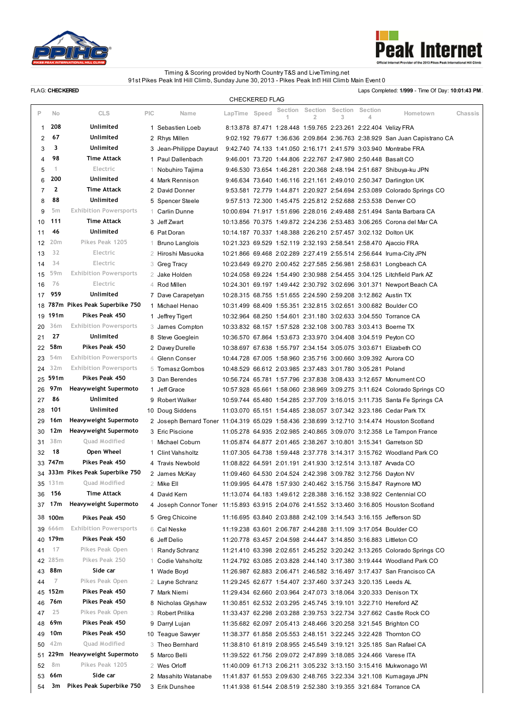



## Timing & Scoring provided by North Country T&S and LiveTiming.net 91st Pikes Peak Intl Hill Climb, Sunday June 30, 2013 - Pikes Peak Int'l Hill Climb Main Event 0

FLAG: CHECKERED **EXERED Laps Completed: 1/999 - Time Of Day: 10:01:43 PM.** 

|                |              |                                  |            |                                                                                              |                                                               | <b>CHECKERED FLAG</b> |              |              |              |              |                                                                            |         |
|----------------|--------------|----------------------------------|------------|----------------------------------------------------------------------------------------------|---------------------------------------------------------------|-----------------------|--------------|--------------|--------------|--------------|----------------------------------------------------------------------------|---------|
| P              | No           | <b>CLS</b>                       | <b>PIC</b> | Name                                                                                         | LapTime Speed                                                 |                       | Section<br>1 | Section<br>2 | Section<br>3 | Section<br>4 | Hometown                                                                   | Chassis |
| 1              | 208          | <b>Unlimited</b>                 |            | 1 Sebastien Loeb                                                                             |                                                               |                       |              |              |              |              | 8:13.878 87.471 1:28.448 1:59.765 2:23.261 2:22.404 Velizy FRA             |         |
| 2              | 67           | Unlimited                        |            | 2 Rhys Millen                                                                                |                                                               |                       |              |              |              |              | 9:02.192 79.677 1:36.636 2:09.864 2:36.763 2:38.929 San Juan Capistrano CA |         |
| 3              | 3            | Unlimited                        |            | 3 Jean-Philippe Dayraut                                                                      |                                                               |                       |              |              |              |              | 9:42.740 74.133 1.41.050 2.16.171 2.41.579 3:03.940 Montrabe FRA           |         |
| 4              | 98           | Time Attack                      |            | 1 Paul Dallenbach                                                                            |                                                               |                       |              |              |              |              | 9:46.001 73.720 1:44.806 2:22.767 2:47.980 2:50.448 Basalt CO              |         |
| 5              | 1            | Electric                         |            | 1 Nobuhiro Tajima                                                                            |                                                               |                       |              |              |              |              | 9:46.530 73.654 1:46.281 2:20.368 2:48.194 2:51.687 Shibuya-ku JPN         |         |
| 6              | 200          | <b>Unlimited</b>                 |            | 4 Mark Rennison                                                                              |                                                               |                       |              |              |              |              | 9:46.634 73.640 1:46.116 2:21.161 2:49.010 2:50.347 Darlington UK          |         |
| $\overline{7}$ | $\mathbf{2}$ | Time Attack                      |            | 2 David Donner                                                                               |                                                               |                       |              |              |              |              | 9:53.581 72.779 1:44.871 2:20.927 2:54.694 2:53.089 Colorado Springs CO    |         |
| 8              | 88           | Unlimited                        |            | 5 Spencer Steele                                                                             |                                                               |                       |              |              |              |              | 9:57.513 72.300 1:45.475 2:25.812 2:52.688 2:53.538 Denver CO              |         |
| 9              | 5m           | <b>Exhibition Powersports</b>    |            | 1 Carlin Dunne                                                                               |                                                               |                       |              |              |              |              | 10:00.694 71.917 1.51.696 2:28.016 2:49.488 2:51.494 Santa Barbara CA      |         |
| 10             | 111          | Time Attack                      |            | 3 Jeff Zwart                                                                                 |                                                               |                       |              |              |              |              | 10:13.856 70.375 1:49.872 2:24.236 2:53.483 3:06.265 Corona del Mar CA     |         |
| 11             | 46           | Unlimited                        |            | 6 Pat Doran                                                                                  |                                                               |                       |              |              |              |              | 10:14.187 70.337 1:48.388 2:26.210 2:57.457 3:02.132 Dolton UK             |         |
| 12             | 20m          | Pikes Peak 1205                  | 1          | <b>Bruno Langlois</b>                                                                        |                                                               |                       |              |              |              |              | 10:21.323 69.529 1:52.119 2:32.193 2:58.541 2:58.470 Ajaccio FRA           |         |
| 13             | 32           | Electric                         | 2          | Hiroshi Masuoka                                                                              |                                                               |                       |              |              |              |              | 10:21.866 69.468 2:02.289 2:27.419 2:55.514 2:56.644 Iruma-City JPN        |         |
| 14             | 34           | Electric                         |            | 3 Greg Tracy                                                                                 |                                                               |                       |              |              |              |              | 10:23.649 69.270 2:00.452 2:27.585 2:56.981 2:58.631 Longbeach CA          |         |
| 15             | 59m          | <b>Exhibition Powersports</b>    |            | 2 Jake Holden                                                                                |                                                               |                       |              |              |              |              | 10:24.058 69.224 1:54.490 2:30.988 2:54.455 3:04.125 Litchfield Park AZ    |         |
| 16             | 76           | Electric                         |            | 4 Rod Millen                                                                                 |                                                               |                       |              |              |              |              | 10:24.301 69.197 1.49.442 2:30.792 3:02.696 3:01.371 Newport Beach CA      |         |
| 17             | 959          | <b>Unlimited</b>                 |            | 7 Dave Carapetyan                                                                            |                                                               |                       |              |              |              |              | 10:28.315 68.755 1:51.655 2:24.590 2:59.208 3:12.862 Austin TX             |         |
| 18             |              | 787m Pikes Peak Superbike 750    |            | 1 Michael Henao                                                                              |                                                               |                       |              |              |              |              | 10:31.499 68.409 1:55.351 2:32.815 3:02.651 3:00.682 Boulder CO            |         |
| 19             | 191m         | Pikes Peak 450                   |            | 1 Jeffrey Tigert                                                                             |                                                               |                       |              |              |              |              | 10:32.964 68.250 1:54.601 2:31.180 3:02.633 3:04.550 Torrance CA           |         |
| 20             | 36m          | <b>Exhibition Powersports</b>    |            | 3 James Compton                                                                              |                                                               |                       |              |              |              |              | 10:33.832 68.157 1:57.528 2:32.108 3:00.783 3:03.413 Boerne TX             |         |
| 21             | 27           | Unlimited                        |            | 8 Steve Goeglein                                                                             |                                                               |                       |              |              |              |              | 10:36.570 67.864 1:53.673 2:33.970 3:04.408 3:04.519 Peyton CO             |         |
| 22             | 58m          | Pikes Peak 450                   |            | 2 Davey Durelle                                                                              |                                                               |                       |              |              |              |              | 10:38.697 67.638 1:55.797 2:34.154 3:05.075 3:03.671 Elizabeth CO          |         |
| 23             | 54m          | <b>Exhibition Powersports</b>    |            | 4 Glenn Conser                                                                               |                                                               |                       |              |              |              |              | 10:44.728 67.005 1:58.960 2:35.716 3:00.660 3:09.392 Aurora CO             |         |
| 24             | 32m          | <b>Exhibition Powersports</b>    |            | 5 Tomasz Gombos                                                                              | 10:48.529 66.612 2:03.985 2:37.483 3:01.780 3:05.281 Poland   |                       |              |              |              |              |                                                                            |         |
| 25             | 591m         | Pikes Peak 450                   |            | 3 Dan Berendes                                                                               |                                                               |                       |              |              |              |              | 10:56.724 65.781 1:57.796 2:37.838 3:08.433 3:12.657 Monument CO           |         |
| 26             | 97m          | Heavyweight Supermoto            |            | 1 Jeff Grace                                                                                 |                                                               |                       |              |              |              |              | 10:57.928 65.661 1:58.060 2:38.969 3:09.275 3:11.624 Colorado Springs CO   |         |
| 27             | 86           | Unlimited                        |            | 9 Robert Walker                                                                              |                                                               |                       |              |              |              |              | 10:59.744 65.480 1:54.285 2:37.709 3:16.015 3:11.735 Santa Fe Springs CA   |         |
| 28             | 101          | Unlimited                        |            | 10 Doug Siddens                                                                              |                                                               |                       |              |              |              |              | 11:03.070 65.151 1:54.485 2:38.057 3:07.342 3:23.186 Cedar Park TX         |         |
| 29             | 16m          | Heavyweight Supermoto            |            | 2 Joseph Bernard Toner 11:04.319 65.029 1:58.436 2:38.699 3:12.710 3:14.474 Houston Scotland |                                                               |                       |              |              |              |              |                                                                            |         |
| 30             | 12m          | Heavyweight Supermoto            |            | 3 Eric Piscione                                                                              |                                                               |                       |              |              |              |              | 11:05.278 64.935 2:02.985 2:40.865 3:09.070 3:12.358 Le Tampon France      |         |
| 31             | 38m          | Quad Modified                    | 1.         | Michael Coburn                                                                               |                                                               |                       |              |              |              |              | 11:05.874 64.877 2:01.465 2:38.267 3:10.801 3:15.341 Garretson SD          |         |
| 32             | 18           | Open Wheel                       |            | 1 Clint Vahsholtz                                                                            |                                                               |                       |              |              |              |              | 11:07.305 64.738 1:59.448 2:37.778 3:14.317 3:15.762 Woodland Park CO      |         |
|                | 33 747m      | Pikes Peak 450                   |            | 4 Travis Newbold                                                                             |                                                               |                       |              |              |              |              | 11:08.822 64.591 2:01.191 2:41.930 3:12.514 3:13.187 Arvada CO             |         |
|                |              | 34 333m Pikes Peak Superbike 750 |            | 2 James McKay                                                                                |                                                               |                       |              |              |              |              | 11:09.460 64.530 2:04.524 2:42.398 3:09.782 3:12.756 Dayton NV             |         |
| 35             | 131m         | Quad Modified                    |            | 2 Mike Ell                                                                                   |                                                               |                       |              |              |              |              | 11:09.995 64.478 1:57.930 2:40.462 3:15.756 3:15.847 Raymore MO            |         |
| 36             | 156          | <b>Time Attack</b>               |            | 4 David Kern                                                                                 |                                                               |                       |              |              |              |              | 11:13.074 64.183 1:49.612 2:28.388 3:16.152 3:38.922 Centennial CO         |         |
| 37             | 17m          | Heavyweight Supermoto            |            | 4 Joseph Connor Toner 11:15.893 63.915 2:04.076 2:41.552 3:13.460 3:16.805 Houston Scotland  |                                                               |                       |              |              |              |              |                                                                            |         |
|                | 38 100m      | Pikes Peak 450                   |            | 5 Greg Chicoine                                                                              |                                                               |                       |              |              |              |              | 11:16.695 63.840 2:03.888 2:42.109 3:14.543 3:16.155 Jefferson SD          |         |
| 39             | 666m         | <b>Exhibition Powersports</b>    |            | 6 Cal Neske                                                                                  |                                                               |                       |              |              |              |              | 11:19.238 63.601 2:06.787 2:44.288 3:11.109 3:17.054 Boulder CO            |         |
| 40             | 179m         | Pikes Peak 450                   | 6          | Jeff Delio                                                                                   |                                                               |                       |              |              |              |              | 11:20.778 63.457 2:04.598 2:44.447 3:14.850 3:16.883 Littleton CO          |         |
| 41             | 17           | Pikes Peak Open                  | 1.         | Randy Schranz                                                                                |                                                               |                       |              |              |              |              | 11:21.410 63.398 2:02.651 2:45.252 3:20.242 3:13.265 Colorado Springs CO   |         |
| 42             | 285m         | Pikes Peak 250                   | 1.         | Codie Vahsholtz                                                                              |                                                               |                       |              |              |              |              | 11:24.792 63.085 2:03.828 2:44.140 3:17.380 3:19.444 Woodland Park CO      |         |
| 43             | 88m          | Side car                         |            | 1 Wade Boyd                                                                                  |                                                               |                       |              |              |              |              | 11:26.987 62.883 2:06.471 2:46.582 3:16.497 3:17.437 San Francisco CA      |         |
| 44             | 7            | Pikes Peak Open                  |            | 2 Layne Schranz                                                                              | 11:29.245 62.677 1:54.407 2:37.460 3:37.243 3:20.135 Leeds AL |                       |              |              |              |              |                                                                            |         |
| 45             | 152m         | Pikes Peak 450                   |            | 7 Mark Niemi                                                                                 |                                                               |                       |              |              |              |              | 11:29.434 62.660 2:03.964 2:47.073 3:18.064 3:20.333 Denison TX            |         |
| 46             | 76m          | Pikes Peak 450                   |            | 8 Nicholas Glyshaw                                                                           |                                                               |                       |              |              |              |              | 11:30.851 62.532 2:03.295 2:45.745 3:19.101 3:22.710 Hereford AZ           |         |
| 47             | 25           | Pikes Peak Open                  |            | 3 Robert Prilika                                                                             |                                                               |                       |              |              |              |              | 11:33.437 62.298 2:03.288 2:39.753 3:22.734 3:27.662 Castle Rock CO        |         |
| 48             | 69m          | Pikes Peak 450                   |            | 9 Darryl Lujan                                                                               |                                                               |                       |              |              |              |              | 11:35.682 62.097 2:05.413 2:48.466 3:20.258 3:21.545 Brighton CO           |         |
| 49             | 10m          | Pikes Peak 450                   |            | 10 Teague Sawyer                                                                             |                                                               |                       |              |              |              |              | 11:38.377 61.858 2:05.553 2:48.151 3:22.245 3:22.428 Thornton CO           |         |
| 50             | 42m          | Quad Modified                    |            | 3 Theo Bernhard                                                                              |                                                               |                       |              |              |              |              | 11:38.810 61.819 2:08.955 2:45.549 3:19.121 3:25.185 San Rafael CA         |         |
| 51             | 229m         | Heavyweight Supermoto            |            | 5 Marco Belli                                                                                |                                                               |                       |              |              |              |              | 11:39.522 61.756 2:09.072 2:47.899 3:18.085 3:24.466 Varese ITA            |         |
| 52             | 8m           | Pikes Peak 1205                  |            | 2 Wes Orloff                                                                                 |                                                               |                       |              |              |              |              | 11:40.009 61.713 2:06.211 3:05.232 3:13.150 3:15.416 Mukwonago WI          |         |
| 53             | 66m          | Side car                         |            | 2 Masahito Watanabe                                                                          |                                                               |                       |              |              |              |              | 11:41.837 61.553 2:09.630 2:48.765 3:22.334 3:21.108 Kumagaya JPN          |         |
| 54             | 3m           | Pikes Peak Superbike 750         |            | 3 Erik Dunshee                                                                               |                                                               |                       |              |              |              |              | 11:41.938 61.544 2:08.519 2:52.380 3:19.355 3:21.684 Torrance CA           |         |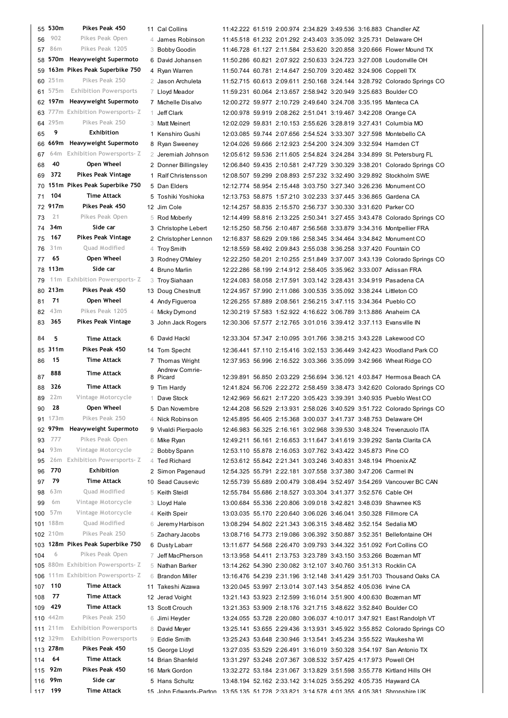| 55         | 530m       | Pikes Peak 450                     | 11 Cal Collins       |                                                                |  |  | 11:42.222 61.519 2:00.974 2:34.829 3:49.536 3:16.883 Chandler AZ                                                                      |
|------------|------------|------------------------------------|----------------------|----------------------------------------------------------------|--|--|---------------------------------------------------------------------------------------------------------------------------------------|
| 56         | 902        | Pikes Peak Open                    | 4 James Robinson     |                                                                |  |  | 11:45.518 61.232 2:01.292 2:43.403 3:35.092 3:25.731 Delaware OH                                                                      |
| 57         | 86m        | Pikes Peak 1205                    | 3 Bobby Goodin       |                                                                |  |  | 11:46.728 61.127 2:11.584 2:53.620 3:20.858 3:20.666 Flower Mound 1                                                                   |
| 58         |            | 570m Heavyweight Supermoto         | 6 David Johansen     |                                                                |  |  | 11:50.286 60.821 2:07.922 2:50.633 3:24.723 3:27.008 Loudonville OH                                                                   |
| 59         |            | 163m Pikes Peak Superbike 750      | 4 Ryan Warren        |                                                                |  |  | 11:50.744 60.781 2:14.647 2:50.709 3:20.482 3:24.906 Coppell TX                                                                       |
|            | 251m       | Pikes Peak 250                     |                      |                                                                |  |  | 11:52.715 60.613 2:09.611 2:50.168 3:24.144 3:28.792 Colorado Sprin                                                                   |
| 60         | 575m       | <b>Exhibition Powersports</b>      | 2 Jason Archuleta    |                                                                |  |  |                                                                                                                                       |
| 61         |            |                                    | 7 Lloyd Meador       |                                                                |  |  | 11:59.231 60.064 2:13.657 2:58.942 3:20.949 3:25.683 Boulder CO                                                                       |
|            |            | 62 197m Heavyweight Supermoto      | 7 Michelle Disalvo   |                                                                |  |  | 12:00.272 59.977 2:10.729 2:49.640 3:24.708 3:35.195 Manteca CA                                                                       |
| 63         |            | 777m Exhibition Powersports- Z     | 1 Jeff Clark         |                                                                |  |  | 12:00.978 59.919 2:08.262 2:51.041 3:19.467 3:42.208 Orange CA                                                                        |
| 64         | 295m       | Pikes Peak 250                     | 3 Matt Meinert       |                                                                |  |  | 12:02.029 59.831 2:10.153 2:55.626 3:28.819 3:27.431 Columbia MO                                                                      |
| 65         | 9          | <b>Exhibition</b>                  | 1 Kenshiro Gushi     |                                                                |  |  | 12:03.085 59.744 2:07.656 2:54.524 3:33.307 3:27.598 Montebello CA                                                                    |
| 66         |            | 669m Heavyweight Supermoto         | 8 Ryan Sweeney       |                                                                |  |  | 12:04.026 59.666 2:12.923 2:54.200 3:24.309 3:32.594 Hamden CT                                                                        |
| 67         | 64m        | <b>Exhibition Powersports- Z</b>   | 2 Jeremiah Johnson   |                                                                |  |  | 12:05.612 59.536 2:11.605 2:54.824 3:24.284 3:34.899 St. Petersburg I                                                                 |
| 68         | 40         | Open Wheel                         | 2 Donner Billingsley |                                                                |  |  | 12:06.840 59.435 2:10.581 2:47.729 3:30.329 3:38.201 Colorado Sprin                                                                   |
| 69         | 372        | <b>Pikes Peak Vintage</b>          | 1 Ralf Christensson  |                                                                |  |  | 12:08.507 59.299 2:08.893 2:57.232 3:32.490 3:29.892 Stockholm SWE                                                                    |
| 70         |            | 151m Pikes Peak Superbike 750      | 5 Dan Elders         |                                                                |  |  | 12:12.774 58.954 2:15.448 3:03.750 3:27.340 3:26.236 Monument CO                                                                      |
| 71         | 104        | <b>Time Attack</b>                 | 5 Toshiki Yoshioka   |                                                                |  |  | 12:13.753 58.875 1:57.210 3:02.233 3:37.445 3:36.865 Gardena CA                                                                       |
|            | 72 917m    | Pikes Peak 450                     | 12 Jim Cole          |                                                                |  |  | 12:14.257 58.835 2:15.570 2:56.737 3:30.330 3:31.620 Parker CO                                                                        |
|            | 21         | Pikes Peak Open                    |                      |                                                                |  |  |                                                                                                                                       |
| 73         |            |                                    | 5 Rod Moberly        |                                                                |  |  | 12:14.499 58.816 2:13.225 2:50.341 3:27.455 3:43.478 Colorado Sprin                                                                   |
| 74         | 34m        | Side car                           | 3 Christophe Lebert  |                                                                |  |  | 12:15.250 58.756 2:10.487 2:56.568 3:33.879 3:34.316 Montpellier FRA                                                                  |
| 75         | 167        | <b>Pikes Peak Vintage</b>          | 2 Christopher Lennon |                                                                |  |  | 12:16.837 58.629 2:09.186 2:58.345 3:34.464 3:34.842 Monument CO                                                                      |
| 76         | 31m        | Quad Modified                      | 4 Troy Smith         |                                                                |  |  | 12:18.559 58.492 2:09.843 2:55.038 3:36.258 3:37.420 Fountain CO                                                                      |
| 77         | 65         | Open Wheel                         | 3 Rodney O'Maley     |                                                                |  |  | 12:22.250 58.201 2:10.255 2:51.849 3:37.007 3:43.139 Colorado Sprin                                                                   |
| 78         | 113m       | Side car                           | 4 Bruno Marlin       |                                                                |  |  | 12:22.286 58.199 2:14.912 2:58.405 3:35.962 3:33.007 Adissan FRA                                                                      |
| 79         |            | 11m Exhibition Powersports-Z       | 3 Troy Siahaan       |                                                                |  |  | 12:24.083 58.058 2:17.591 3:03.142 3:28.431 3:34.919 Pasadena CA                                                                      |
|            | 80 213m    | Pikes Peak 450                     | 13 Doug Chestnutt    |                                                                |  |  | 12:24.957 57.990 2:11.086 3:00.535 3:35.092 3:38.244 Littleton CO                                                                     |
| 81         | 71         | Open Wheel                         | 4 Andy Figueroa      |                                                                |  |  | 12:26.255 57.889 2:08.561 2:56.215 3:47.115 3:34.364 Pueblo CO                                                                        |
| 82         | 43m        | Pikes Peak 1205                    | 4 Micky Dymond       |                                                                |  |  | 12:30.219 57.583 1.52.922 4.16.622 3.06.789 3.13.886 Anaheim CA                                                                       |
| 83         | 365        | <b>Pikes Peak Vintage</b>          | 3 John Jack Rogers   |                                                                |  |  | 12:30.306 57.577 2:12.765 3:01.016 3:39.412 3:37.113 Evansville IN                                                                    |
|            |            |                                    |                      |                                                                |  |  |                                                                                                                                       |
| 84         | 5          | <b>Time Attack</b>                 | 6 David Hackl        |                                                                |  |  | 12:33.304 57.347 2:10.095 3:01.766 3:38.215 3:43.228 Lakewood CO                                                                      |
|            | 85 311m    | Pikes Peak 450                     | 14 Tom Specht        |                                                                |  |  | 12:36.441 57.110 2:15.416 3:02.153 3:36.449 3:42.423 Woodland Park                                                                    |
|            | 15         | <b>Time Attack</b>                 | 7 Thomas Wright      |                                                                |  |  |                                                                                                                                       |
| 86         |            |                                    |                      |                                                                |  |  | 12:37.953 56.996 2:16.522 3:03.366 3:35.099 3:42.966 Wheat Ridge C                                                                    |
|            |            |                                    | Andrew Comrie-       |                                                                |  |  |                                                                                                                                       |
| 87         | 888        | <b>Time Attack</b>                 | 8 Picard             |                                                                |  |  | 12:39.891 56.850 2:03.229 2:56.694 3:36.121 4:03.847 Hermosa Beac                                                                     |
| 88         | 326        | <b>Time Attack</b>                 | 9 Tim Hardy          |                                                                |  |  | 12:41.824 56.706 2:22.272 2:58.459 3:38.473 3:42.620 Colorado Sprin                                                                   |
| 89         | 22m        | Vintage Motorcycle                 | 1 Dave Stock         |                                                                |  |  | 12:42.969 56.621 2:17.220 3:05.423 3:39.391 3:40.935 Pueblo West CO                                                                   |
| 90         | 28         | Open Wheel                         | 5 Dan Novembre       |                                                                |  |  | 12:44.208 56.529 2:13.931 2:58.026 3:40.529 3:51.722 Colorado Sprin                                                                   |
|            | 91 173m    | Pikes Peak 250                     | 4 Nick Robinson      |                                                                |  |  | 12:45.895 56.405 2:15.368 3:00.037 3:41.737 3:48.753 Delaware OH                                                                      |
|            |            | 92 979m Heavyweight Supermoto      | 9 Vivaldi Pierpaolo  |                                                                |  |  | 12:46.983 56.325 2:16.161 3:02.968 3:39.530 3:48.324 Trevenzuolo ITA                                                                  |
| 93         | 777        | Pikes Peak Open                    | 6 Mike Ryan          |                                                                |  |  | 12:49.211 56.161 2:16.653 3:11.647 3:41.619 3:39.292 Santa Clarita C.                                                                 |
| 94         | 93m        | Vintage Motorcycle                 |                      |                                                                |  |  |                                                                                                                                       |
|            |            |                                    | 2 Bobby Spann        | 12:53.110 55.878 2:16.053 3:07.762 3:43.422 3:45.873 Pine CO   |  |  |                                                                                                                                       |
| 95         | 26m        | <b>Exhibition Powersports- Z</b>   | 4 Ted Richard        |                                                                |  |  | 12:53.612 55.842 2:21.341 3:03.246 3:40.831 3:48.194 Phoenix AZ                                                                       |
| 96         | 770        | <b>Exhibition</b>                  | 2 Simon Pagenaud     |                                                                |  |  | 12:54.325 55.791 2:22.181 3:07.558 3:37.380 3:47.206 Carmel IN                                                                        |
| 97         | 79         | <b>Time Attack</b>                 | 10 Sead Causevic     |                                                                |  |  | 12:55.739 55.689 2:00.479 3:08.494 3:52.497 3:54.269 Vancouver BC 0                                                                   |
| 98         | 63m        | Quad Modified                      | 5 Keith Steidl       |                                                                |  |  | 12:55.784 55.686 2:18.527 3:03.304 3:41.377 3:52.576 Cable OH                                                                         |
| 99         | 6m         | Vintage Motorcycle                 | 3 Lloyd Hale         |                                                                |  |  | 13:00.684 55.336 2:20.806 3:09.018 3:42.821 3:48.039 Shawnee KS                                                                       |
| 100        | 57m        | Vintage Motorcycle                 | 4 Keith Speir        |                                                                |  |  | 13:03.035 55.170 2:20.640 3:06.026 3:46.041 3:50.328 Fillmore CA                                                                      |
| 101        | 188m       | Quad Modified                      | 6 Jeremy Harbison    |                                                                |  |  | 13:08.294 54.802 2:21.343 3:06.315 3:48.482 3:52.154 Sedalia MO                                                                       |
|            | 102 210m   | Pikes Peak 250                     | 5 Zachary Jacobs     |                                                                |  |  | 13:08.716 54.773 2:19.086 3:06.392 3:50.887 3:52.351 Bellefontaine O                                                                  |
| 103        |            | 128m Pikes Peak Superbike 750      | 6 Dusty Labarr       |                                                                |  |  | 13:11.677 54.568 2:26.470 3:09.793 3:44.322 3:51.092 Fort Collins CO                                                                  |
| 104        | 6          | Pikes Peak Open                    | 7 Jeff MacPherson    |                                                                |  |  | 13:13.958 54.411 2:13.753 3:23.789 3:43.150 3:53.266 Bozeman MT                                                                       |
|            |            | 105 880m Exhibition Powersports- Z | 5 Nathan Barker      |                                                                |  |  | 13:14.262 54.390 2:30.082 3:12.107 3:40.760 3:51.313 Rocklin CA                                                                       |
| 106        |            | 111m Exhibition Powersports- Z     | 6 Brandon Miller     |                                                                |  |  | 13:16.476 54.239 2:31.196 3:12.148 3:41.429 3:51.703 Thousand Oaks                                                                    |
| 107        | 110        | <b>Time Attack</b>                 | 11 Takeshi Aizawa    | 13:20.045 53.997 2:13.014 3:07.143 3:54.852 4:05.036 Irvine CA |  |  |                                                                                                                                       |
| 108        | 77         | <b>Time Attack</b>                 | 12 Jerad Voight      |                                                                |  |  | 13:21.143 53.923 2:12.599 3:16.014 3:51.900 4:00.630 Bozeman MT                                                                       |
| 109        | 429        | <b>Time Attack</b>                 |                      |                                                                |  |  |                                                                                                                                       |
|            |            | Pikes Peak 250                     | 13 Scott Crouch      |                                                                |  |  | 13:21.353 53.909 2:18.176 3:21.715 3:48.622 3:52.840 Boulder CO                                                                       |
|            | 110 442m   |                                    | 6 Jimi Heyder        |                                                                |  |  | 13:24.055 53.728 2:20.080 3:06.037 4:10.017 3:47.921 East Randolph                                                                    |
|            | 111 211m   | <b>Exhibition Powersports</b>      | 8 David Meyer        |                                                                |  |  | 13:25.141 53.655 2:29.436 3:13.931 3:45.922 3:55.852 Colorado Sprin                                                                   |
|            | 112 329m   | <b>Exhibition Powersports</b>      | 9 Eddie Smith        |                                                                |  |  | 13:25.243 53.648 2:30.946 3:13.541 3:45.234 3:55.522 Waukesha WI                                                                      |
|            | 113 278m   | Pikes Peak 450                     | 15 George Lloyd      |                                                                |  |  | 13:27.035 53.529 2:26.491 3:16.019 3:50.328 3:54.197 San Antonio TX                                                                   |
| 114        | 64         | <b>Time Attack</b>                 | 14 Brian Shanfeld    |                                                                |  |  | 13:31.297 53.248 2:07.367 3:08.532 3:57.425 4:17.973 Powell OH                                                                        |
| 115        | 92m        | Pikes Peak 450                     | 16 Mark Gordon       |                                                                |  |  | 13:32.272 53.184 2:31.067 3:13.829 3:51.598 3:55.778 Kirtland Hills OI                                                                |
| 116<br>117 | 99m<br>199 | Side car<br>Time Attack            | 5 Hans Schultz       |                                                                |  |  | 13:48.194 52.162 2:33.142 3:14.025 3:55.292 4:05.735 Hayward CA<br>13:55 135 51 728 2:33 821 3:14 578 4:01 355 4:05 381 Shronshire HK |

|                   | 55 530m            | Pikes Peak 450                                           | 11 Cal Collins                   |                                                                |  |  | 11:42.222 61.519 2:00.974 2:34.829 3:49.536 3:16.883 Chandler AZ                                                                          |
|-------------------|--------------------|----------------------------------------------------------|----------------------------------|----------------------------------------------------------------|--|--|-------------------------------------------------------------------------------------------------------------------------------------------|
| 56                | 902                | Pikes Peak Open                                          | 4 James Robinson                 |                                                                |  |  | 11:45.518 61.232 2:01.292 2:43.403 3:35.092 3:25.731 Delaware OH                                                                          |
| 57                | 86m                | Pikes Peak 1205                                          | 3 Bobby Goodin                   |                                                                |  |  | 11:46.728 61.127 2:11.584 2:53.620 3:20.858 3:20.666 Flower Mound TX                                                                      |
|                   |                    | 58 570m Heavyweight Supermoto                            | 6 David Johansen                 |                                                                |  |  | 11:50.286 60.821 2:07.922 2:50.633 3:24.723 3:27.008 Loudonville OH                                                                       |
| 59                |                    | 163m Pikes Peak Superbike 750                            | 4 Ryan Warren                    |                                                                |  |  | 11:50.744 60.781 2:14.647 2:50.709 3:20.482 3:24.906 Coppell TX                                                                           |
|                   | 60 251m            | Pikes Peak 250                                           | 2 Jason Archuleta                |                                                                |  |  | 11:52.715 60.613 2:09.611 2:50.168 3:24.144 3:28.792 Colorado Springs CO                                                                  |
|                   | 61 575m            | <b>Exhibition Powersports</b>                            | 7 Lloyd Meador                   |                                                                |  |  | 11:59.231 60.064 2:13.657 2:58.942 3:20.949 3:25.683 Boulder CO                                                                           |
|                   | 62 197m            | Heavyweight Supermoto                                    | 7 Michelle Disalvo               |                                                                |  |  | 12:00.272 59.977 2:10.729 2:49.640 3:24.708 3:35.195 Manteca CA                                                                           |
|                   |                    | 63 777m Exhibition Powersports- Z                        | 1 Jeff Clark                     |                                                                |  |  | 12:00.978 59.919 2:08.262 2:51.041 3:19.467 3:42.208 Orange CA                                                                            |
|                   | 64 295m            | Pikes Peak 250                                           | 3 Matt Meinert                   |                                                                |  |  | 12:02.029 59.831 2:10.153 2:55.626 3:28.819 3:27.431 Columbia MO                                                                          |
| 65                | 9                  | <b>Exhibition</b>                                        | 1 Kenshiro Gushi                 |                                                                |  |  | 12:03.085 59.744 2:07.656 2:54.524 3:33.307 3:27.598 Montebello CA                                                                        |
|                   | <sub>66</sub> 669m | Heavyweight Supermoto                                    | 8 Ryan Sweeney                   |                                                                |  |  | 12:04.026 59.666 2:12.923 2:54.200 3:24.309 3:32.594 Hamden CT                                                                            |
| 67                | 64m                | <b>Exhibition Powersports- Z</b>                         | 2 Jeremiah Johnson               |                                                                |  |  | 12:05.612 59.536 2:11.605 2:54.824 3:24.284 3:34.899 St. Petersburg FL                                                                    |
| 68                | 40                 | Open Wheel                                               | 2 Donner Billingsley             |                                                                |  |  | 12:06.840 59.435 2:10.581 2:47.729 3:30.329 3:38.201 Colorado Springs CO                                                                  |
| 69                | 372                | <b>Pikes Peak Vintage</b>                                | 1 Ralf Christensson              |                                                                |  |  | 12:08.507 59.299 2:08.893 2:57.232 3:32.490 3:29.892 Stockholm SWE                                                                        |
| 70                |                    | 151m Pikes Peak Superbike 750                            | 5 Dan Elders                     |                                                                |  |  | 12:12.774 58.954 2:15.448 3:03.750 3:27.340 3:26.236 Monument CO                                                                          |
| 71                | 104                | <b>Time Attack</b>                                       | 5 Toshiki Yoshioka               |                                                                |  |  | 12:13.753 58.875 1.57.210 3:02.233 3:37.445 3:36.865 Gardena CA                                                                           |
|                   | 72 917m            | Pikes Peak 450                                           | 12 Jim Cole                      |                                                                |  |  | 12:14.257 58.835 2:15.570 2:56.737 3:30.330 3:31.620 Parker CO                                                                            |
| 73                | 21                 | Pikes Peak Open                                          | 5 Rod Moberly                    |                                                                |  |  | 12:14.499 58.816 2:13.225 2:50.341 3:27.455 3:43.478 Colorado Springs CO                                                                  |
| 74                | 34m                | Side car                                                 | 3 Christophe Lebert              |                                                                |  |  | 12:15.250 58.756 2:10.487 2:56.568 3:33.879 3:34.316 Montpellier FRA                                                                      |
| 75                | 167                | <b>Pikes Peak Vintage</b>                                | 2 Christopher Lennon             |                                                                |  |  | 12:16.837 58.629 2:09.186 2:58.345 3:34.464 3:34.842 Monument CO                                                                          |
| 76                | 31m                | Quad Modified                                            | 4 Troy Smith                     |                                                                |  |  | 12:18.559 58.492 2:09.843 2:55.038 3:36.258 3:37.420 Fountain CO                                                                          |
| 77                | 65                 | Open Wheel                                               | 3 Rodney O'Maley                 |                                                                |  |  | 12:22.250 58.201 2:10.255 2:51.849 3:37.007 3:43.139 Colorado Springs CO                                                                  |
|                   | 78 113m            | Side car                                                 | 4 Bruno Marlin                   |                                                                |  |  | 12:22.286 58.199 2:14.912 2:58.405 3:35.962 3:33.007 Adissan FRA                                                                          |
| 79                |                    | 11m Exhibition Powersports-Z                             | 3 Troy Siahaan                   |                                                                |  |  | 12:24.083 58.058 2:17.591 3:03.142 3:28.431 3:34.919 Pasadena CA                                                                          |
|                   | 80 213m            | Pikes Peak 450                                           | 13 Doug Chestnutt                |                                                                |  |  | 12:24.957 57.990 2:11.086 3:00.535 3:35.092 3:38.244 Littleton CO                                                                         |
| 81                | 71                 | Open Wheel                                               | 4 Andy Figueroa                  |                                                                |  |  | 12:26.255 57.889 2:08.561 2:56.215 3:47.115 3:34.364 Pueblo CO                                                                            |
| 82                | 43m                | Pikes Peak 1205                                          | 4 Micky Dymond                   |                                                                |  |  | 12:30.219 57.583 1.52.922 4:16.622 3:06.789 3:13.886 Anaheim CA                                                                           |
| 83                | 365                | <b>Pikes Peak Vintage</b>                                | 3 John Jack Rogers               |                                                                |  |  | 12:30.306 57.577 2:12.765 3:01.016 3:39.412 3:37.113 Evans ville IN                                                                       |
|                   |                    |                                                          |                                  |                                                                |  |  |                                                                                                                                           |
| 84                | 5                  | <b>Time Attack</b>                                       | 6 David Hackl                    |                                                                |  |  | 12:33.304 57.347 2:10.095 3:01.766 3:38.215 3:43.228 Lakewood CO                                                                          |
| 85                | 311m               | Pikes Peak 450                                           | 14 Tom Specht                    |                                                                |  |  | 12:36.441 57.110 2:15.416 3:02.153 3:36.449 3:42.423 Woodland Park CO                                                                     |
|                   |                    |                                                          |                                  |                                                                |  |  |                                                                                                                                           |
| 86                | 15                 | <b>Time Attack</b>                                       | 7 Thomas Wright                  |                                                                |  |  | 12:37.953 56.996 2:16.522 3:03.366 3:35.099 3:42.966 Wheat Ridge CO                                                                       |
|                   | 888                | <b>Time Attack</b>                                       | Andrew Comrie-                   |                                                                |  |  |                                                                                                                                           |
| 87                |                    |                                                          | 8 Picard                         |                                                                |  |  | 12:39.891 56.850 2:03.229 2:56.694 3:36.121 4:03.847 Hermosa Beach CA                                                                     |
| 88                | 326                | <b>Time Attack</b>                                       | 9 Tim Hardy                      |                                                                |  |  | 12:41.824 56.706 2:22.272 2:58.459 3:38.473 3:42.620 Colorado Springs CO                                                                  |
| 89                | 22m                | Vintage Motorcycle                                       | 1 Dave Stock                     |                                                                |  |  | 12:42.969 56.621 2:17.220 3:05.423 3:39.391 3:40.935 Pueblo West CO                                                                       |
| 90                | 28                 | Open Wheel                                               | 5 Dan Novembre                   |                                                                |  |  | 12:44.208 56.529 2:13.931 2:58.026 3:40.529 3:51.722 Colorado Springs CO                                                                  |
| 91                | 173m               | Pikes Peak 250                                           | 4 Nick Robinson                  |                                                                |  |  | 12:45.895 56.405 2:15.368 3:00.037 3:41.737 3:48.753 Delaware OH                                                                          |
|                   | 92 979m            | Heavyweight Supermoto                                    | 9 Vivaldi Pierpaolo              |                                                                |  |  | 12:46.983 56.325 2:16.161 3:02.968 3:39.530 3:48.324 Trevenzuolo ITA                                                                      |
| 93                | 777                | Pikes Peak Open                                          | 6 Mike Ryan                      |                                                                |  |  | 12:49.211 56.161 2:16.653 3:11.647 3:41.619 3:39.292 Santa Clarita CA                                                                     |
| 94                | 93m                | Vintage Motorcycle                                       | 2 Bobby Spann                    | 12:53.110 55.878 2:16.053 3:07.762 3:43.422 3:45.873 Pine CO   |  |  |                                                                                                                                           |
| 95                | 26m                | <b>Exhibition Powersports- Z</b>                         | 4 Ted Richard                    |                                                                |  |  | 12:53.612 55.842 2:21.341 3:03.246 3:40.831 3:48.194 Phoenix AZ                                                                           |
| 96                | 770<br>79          | <b>Exhibition</b><br><b>Time Attack</b>                  | 2 Simon Pagenaud                 |                                                                |  |  | 12:54.325 55.791 2:22.181 3:07.558 3:37.380 3:47.206 Carmel IN                                                                            |
| 97                | 63m                | Quad Modified                                            | 10 Sead Causevic                 |                                                                |  |  | 12:55.739 55.689 2:00.479 3:08.494 3:52.497 3:54.269 Vancouver BC CAN                                                                     |
| 98                | 6m                 | Vintage Motorcycle                                       | 5 Keith Steidl                   | 12:55.784 55.686 2:18.527 3:03.304 3:41.377 3:52.576 Cable OH  |  |  |                                                                                                                                           |
| 99                |                    |                                                          | 3 Lloyd Hale                     |                                                                |  |  | 13:00.684 55.336 2:20.806 3:09.018 3:42.821 3:48.039 Shawnee KS                                                                           |
| 100               | 57m<br>88m         | Vintage Motorcycle<br>Quad Modified                      | 4 Keith Speir                    |                                                                |  |  | 13:03.035 55.170 2:20.640 3:06.026 3:46.041 3:50.328 Fillmore CA                                                                          |
| 101               |                    |                                                          | 6 Jeremy Harbison                |                                                                |  |  | 13:08.294 54.802 2:21.343 3:06.315 3:48.482 3:52.154 Sedalia MO                                                                           |
|                   | 102 210m           | Pikes Peak 250                                           | 5 Zachary Jacobs                 |                                                                |  |  | 13:08.716 54.773 2:19.086 3:06.392 3:50.887 3:52.351 Bellefontaine OH                                                                     |
|                   |                    | 103 128m Pikes Peak Superbike 750                        | 6 Dusty Labarr                   |                                                                |  |  | 13:11.677 54.568 2:26.470 3:09.793 3:44.322 3:51.092 Fort Collins CO                                                                      |
| 104               | 6                  | Pikes Peak Open                                          | 7 Jeff MacPherson                |                                                                |  |  | 13:13.958 54.411 2:13.753 3:23.789 3:43.150 3:53.266 Bozeman MT                                                                           |
|                   |                    | 105 880m Exhibition Powersports- Z                       | 5 Nathan Barker                  |                                                                |  |  | 13:14.262 54.390 2:30.082 3:12.107 3:40.760 3:51.313 Rocklin CA                                                                           |
|                   | 110                | 106 111m Exhibition Powersports- Z<br><b>Time Attack</b> | 6 Brandon Miller                 |                                                                |  |  | 13:16.476 54.239 2:31.196 3:12.148 3:41.429 3:51.703 Thousand Oaks CA                                                                     |
| 107               | 77                 | <b>Time Attack</b>                                       | 11 Takeshi Aizawa                | 13:20.045 53.997 2:13.014 3:07.143 3:54.852 4:05.036 Irvine CA |  |  |                                                                                                                                           |
|                   | 429                | <b>Time Attack</b>                                       | 12 Jerad Voight                  |                                                                |  |  | 13:21.143 53.923 2:12.599 3:16.014 3:51.900 4:00.630 Bozeman MT                                                                           |
| 108<br>109        |                    | Pikes Peak 250                                           | 13 Scott Crouch                  |                                                                |  |  | 13:21.353 53.909 2:18.176 3:21.715 3:48.622 3:52.840 Boulder CO                                                                           |
|                   | 110 442m           | <b>Exhibition Powersports</b>                            | 6 Jimi Heyder                    |                                                                |  |  | 13:24.055 53.728 2:20.080 3:06.037 4:10.017 3:47.921 East Randolph VT                                                                     |
|                   | 111 $211m$         |                                                          | 8 David Meyer                    |                                                                |  |  | 13:25.141 53.655 2:29.436 3:13.931 3:45.922 3:55.852 Colorado Springs CO                                                                  |
|                   | 112 329m           | <b>Exhibition Powersports</b><br>Pikes Peak 450          | 9 Eddie Smith                    |                                                                |  |  | 13:25.243 53.648 2:30.946 3:13.541 3:45.234 3:55.522 Waukesha WI                                                                          |
|                   | 113 278m<br>64     | <b>Time Attack</b>                                       | 15 George Lloyd                  |                                                                |  |  | 13:27.035 53.529 2:26.491 3:16.019 3:50.328 3:54.197 San Antonio TX                                                                       |
|                   | 92m                | Pikes Peak 450                                           | 14 Brian Shanfeld                |                                                                |  |  | 13:31.297 53.248 2:07.367 3:08.532 3:57.425 4:17.973 Powell OH                                                                            |
| 114<br>115<br>116 | 99m                | Side car                                                 | 16 Mark Gordon<br>5 Hans Schultz |                                                                |  |  | 13:32.272 53.184 2:31.067 3:13.829 3:51.598 3:55.778 Kirtland Hills OH<br>13:48.194 52.162 2:33.142 3:14.025 3:55.292 4:05.735 Hayward CA |